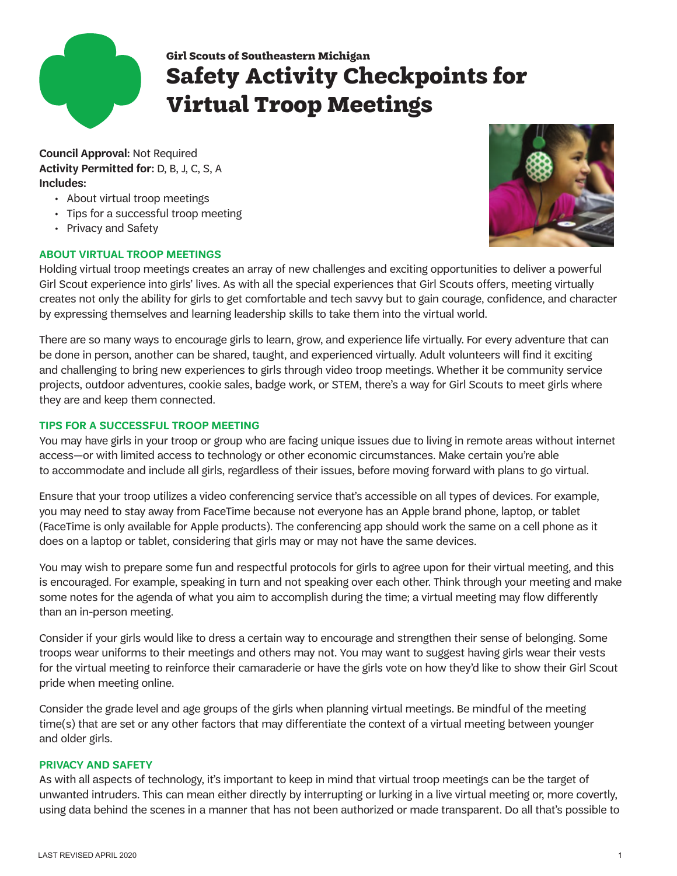

# **Girl Scouts of Southeastern Michigan Safety Activity Checkpoints for Virtual Troop Meetings**

**Council Approval:** Not Required **Activity Permitted for:** D, B, J, C, S, A **Includes:**

- About virtual troop meetings
- Tips for a successful troop meeting
- Privacy and Safety

## **ABOUT VIRTUAL TROOP MEETINGS**



Holding virtual troop meetings creates an array of new challenges and exciting opportunities to deliver a powerful Girl Scout experience into girls' lives. As with all the special experiences that Girl Scouts offers, meeting virtually creates not only the ability for girls to get comfortable and tech savvy but to gain courage, confidence, and character by expressing themselves and learning leadership skills to take them into the virtual world.

There are so many ways to encourage girls to learn, grow, and experience life virtually. For every adventure that can be done in person, another can be shared, taught, and experienced virtually. Adult volunteers will find it exciting and challenging to bring new experiences to girls through video troop meetings. Whether it be community service projects, outdoor adventures, cookie sales, badge work, or STEM, there's a way for Girl Scouts to meet girls where they are and keep them connected.

## **TIPS FOR A SUCCESSFUL TROOP MEETING**

You may have girls in your troop or group who are facing unique issues due to living in remote areas without internet access—or with limited access to technology or other economic circumstances. Make certain you're able to accommodate and include all girls, regardless of their issues, before moving forward with plans to go virtual.

Ensure that your troop utilizes a video conferencing service that's accessible on all types of devices. For example, you may need to stay away from FaceTime because not everyone has an Apple brand phone, laptop, or tablet (FaceTime is only available for Apple products). The conferencing app should work the same on a cell phone as it does on a laptop or tablet, considering that girls may or may not have the same devices.

You may wish to prepare some fun and respectful protocols for girls to agree upon for their virtual meeting, and this is encouraged. For example, speaking in turn and not speaking over each other. Think through your meeting and make some notes for the agenda of what you aim to accomplish during the time; a virtual meeting may flow differently than an in-person meeting.

Consider if your girls would like to dress a certain way to encourage and strengthen their sense of belonging. Some troops wear uniforms to their meetings and others may not. You may want to suggest having girls wear their vests for the virtual meeting to reinforce their camaraderie or have the girls vote on how they'd like to show their Girl Scout pride when meeting online.

Consider the grade level and age groups of the girls when planning virtual meetings. Be mindful of the meeting time(s) that are set or any other factors that may differentiate the context of a virtual meeting between younger and older girls.

## **PRIVACY AND SAFETY**

As with all aspects of technology, it's important to keep in mind that virtual troop meetings can be the target of unwanted intruders. This can mean either directly by interrupting or lurking in a live virtual meeting or, more covertly, using data behind the scenes in a manner that has not been authorized or made transparent. Do all that's possible to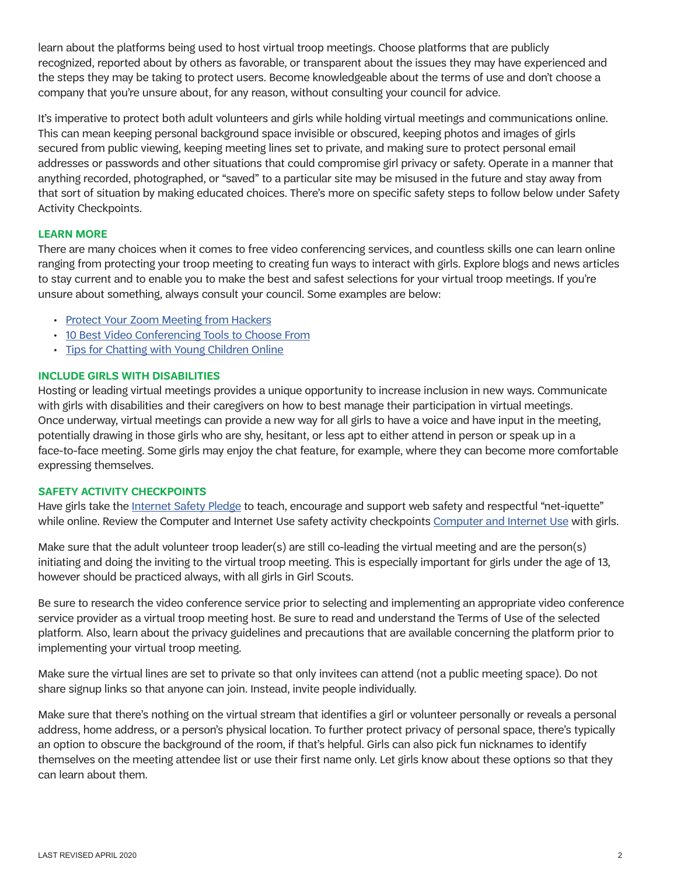learn about the platforms being used to host virtual troop meetings. Choose platforms that are publicly recognized, reported about by others as favorable, or transparent about the issues they may have experienced and the steps they may be taking to protect users. Become knowledgeable about the terms of use and don't choose a company that you're unsure about, for any reason, without consulting your council for advice.

It's imperative to protect both adult volunteers and girls while holding virtual meetings and communications online. This can mean keeping personal background space invisible or obscured, keeping photos and images of girls secured from public viewing, keeping meeting lines set to private, and making sure to protect personal email addresses or passwords and other situations that could compromise girl privacy or safety. Operate in a manner that anything recorded, photographed, or "saved" to a particular site may be misused in the future and stay away from that sort of situation by making educated choices. There's more on specific safety steps to follow below under Safety Activity Checkpoints.

## **LEARN MORE**

There are many choices when it comes to free video conferencing services, and countless skills one can learn online ranging from protecting your troop meeting to creating fun ways to interact with girls. Explore blogs and news articles to stay current and to enable you to make the best and safest selections for your virtual troop meetings. If you're unsure about something, always consult your council. Some examples are below:

- [Protect Your Zoom Meeting from Hackers](https://www.inc.com/jason-aten/hackers-are-trying-to-get-into-your-zoom-meetings-here-are-5-ways-to-stop-them.html)
- [10 Best Video Conferencing Tools to Choose From](https://www.owllabs.com/blog/video-conferencing-tools)
- [Tips for Chatting with Young Children Online](https://www.naeyc.org/our-work/families/tips-video-chatting-young-children)

#### **INCLUDE GIRLS WITH DISABILITIES**

Hosting or leading virtual meetings provides a unique opportunity to increase inclusion in new ways. Communicate with girls with disabilities and their caregivers on how to best manage their participation in virtual meetings. Once underway, virtual meetings can provide a new way for all girls to have a voice and have input in the meeting, potentially drawing in those girls who are shy, hesitant, or less apt to either attend in person or speak up in a face-to-face meeting. Some girls may enjoy the chat feature, for example, where they can become more comfortable expressing themselves.

#### **SAFETY ACTIVITY CHECKPOINTS**

Have girls take the [Internet Safety Pledge](https://www.girlscouts.org/en/help/help/internet-safety-pledge.html) to teach, encourage and support web safety and respectful "net-iquette" while online. Review the [Computer and Internet Use](https://girlscoutsnetwork.okta.com/login/login.htm?fromURI=%2Fapp%2Foffice365%2Fexk7il30vXDV3CoK7356%2Fsso%2Fwsfed%2Fpassive%3Fclient-request-id%3D760c4c9f-20bf-0000-4704-e5561bc8934b%26username%3D%26wa%3Dwsignin1.0%26wtrealm%3Durn%253afederation%253aMicrosoftOnline%26wctx%3Destsredirect%253d2%2526estsrequest%253drQIIAaWRO4gTURSGc_MYSVhRFq0sdotULjcz9zX33qDFTGbiBgMrKBbbLPO4kwybZGZnJstqaWW5aKeFYplKrMTGSpCt1kpIL6xbiZWlE2wEmwX_4ufAOQfO95-bNdRB3bbxRwSuHBpRhGCgVtVfytZbV18N1w4_blYqd-rfHt74_PzuC3B9FGeTPEjmRWmzmQqKTpKNFuDWuCjSvKvr__bzsZepNIlnRSdIpvpelGTTXA9V5M0nRcfL06P3AJwCcAbAonpAGDH7FrE5Qthyqcl6xOIUScdAfYZ72HY4ItgmDnGZoBJDy8CMuialskcdacmeaxuc2URIo2dzlzoWNc1ynwpbMmlzqy8EswS1qEMIs91l9cqONS_GeGVJFj9WP6vN1Y17aZIXi9qFwnpXa0cRiRAJTaioZ0CqOIOCYwkZ9hgylRJE8ZOalqRqFoendXBerxqNX3XwplEG_WXj5dfDZ9-Hbyu7rz-db1ROGvpIbt3fGVh8fxIf2an3YD6cPBpJfRtt8YN7g-3UZHTu7KbTgT66jbvoWAPHmnamgR8aeHqp8qH5Xx9Ztq5hA5eMFGK6iUmXoS4Ru8s11GoGiZ95szAO19sI-aEwBClJVcmMfAZ9nwto-AElgfCEEt6Tyxca-w01) safety activity checkpoints Computer and Internet Use with girls.

Make sure that the adult volunteer troop leader(s) are still co-leading the virtual meeting and are the person(s) initiating and doing the inviting to the virtual troop meeting. This is especially important for girls under the age of 13, however should be practiced always, with all girls in Girl Scouts.

Be sure to research the video conference service prior to selecting and implementing an appropriate video conference service provider as a virtual troop meeting host. Be sure to read and understand the Terms of Use of the selected platform. Also, learn about the privacy guidelines and precautions that are available concerning the platform prior to implementing your virtual troop meeting.

Make sure the virtual lines are set to private so that only invitees can attend (not a public meeting space). Do not share signup links so that anyone can join. Instead, invite people individually.

Make sure that there's nothing on the virtual stream that identifies a girl or volunteer personally or reveals a personal address, home address, or a person's physical location. To further protect privacy of personal space, there's typically an option to obscure the background of the room, if that's helpful. Girls can also pick fun nicknames to identify themselves on the meeting attendee list or use their first name only. Let girls know about these options so that they can learn about them.